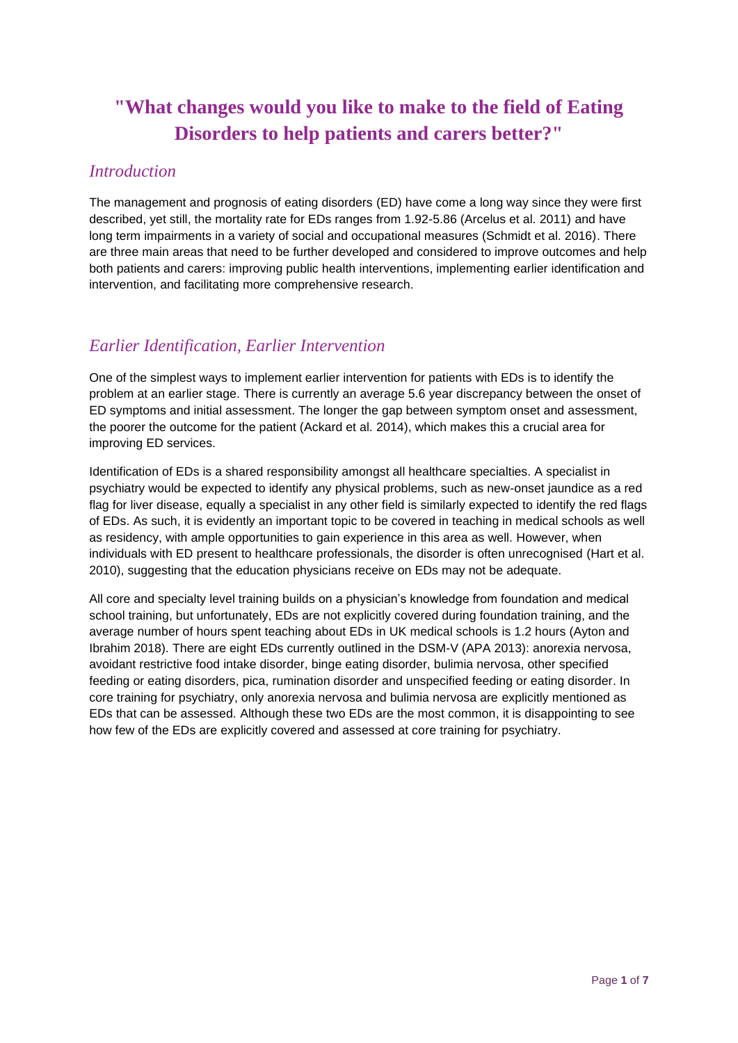# **"What changes would you like to make to the field of Eating Disorders to help patients and carers better?"**

#### *Introduction*

The management and prognosis of eating disorders (ED) have come a long way since they were first described, yet still, the mortality rate for EDs ranges from 1.92-5.86 (Arcelus et al. 2011) and have long term impairments in a variety of social and occupational measures (Schmidt et al. 2016). There are three main areas that need to be further developed and considered to improve outcomes and help both patients and carers: improving public health interventions, implementing earlier identification and intervention, and facilitating more comprehensive research.

### *Earlier Identification, Earlier Intervention*

One of the simplest ways to implement earlier intervention for patients with EDs is to identify the problem at an earlier stage. There is currently an average 5.6 year discrepancy between the onset of ED symptoms and initial assessment. The longer the gap between symptom onset and assessment, the poorer the outcome for the patient (Ackard et al. 2014), which makes this a crucial area for improving ED services.

Identification of EDs is a shared responsibility amongst all healthcare specialties. A specialist in psychiatry would be expected to identify any physical problems, such as new-onset jaundice as a red flag for liver disease, equally a specialist in any other field is similarly expected to identify the red flags of EDs. As such, it is evidently an important topic to be covered in teaching in medical schools as well as residency, with ample opportunities to gain experience in this area as well. However, when individuals with ED present to healthcare professionals, the disorder is often unrecognised (Hart et al. 2010), suggesting that the education physicians receive on EDs may not be adequate.

All core and specialty level training builds on a physician's knowledge from foundation and medical school training, but unfortunately, EDs are not explicitly covered during foundation training, and the average number of hours spent teaching about EDs in UK medical schools is 1.2 hours (Ayton and Ibrahim 2018). There are eight EDs currently outlined in the DSM-V (APA 2013): anorexia nervosa, avoidant restrictive food intake disorder, binge eating disorder, bulimia nervosa, other specified feeding or eating disorders, pica, rumination disorder and unspecified feeding or eating disorder. In core training for psychiatry, only anorexia nervosa and bulimia nervosa are explicitly mentioned as EDs that can be assessed. Although these two EDs are the most common, it is disappointing to see how few of the EDs are explicitly covered and assessed at core training for psychiatry.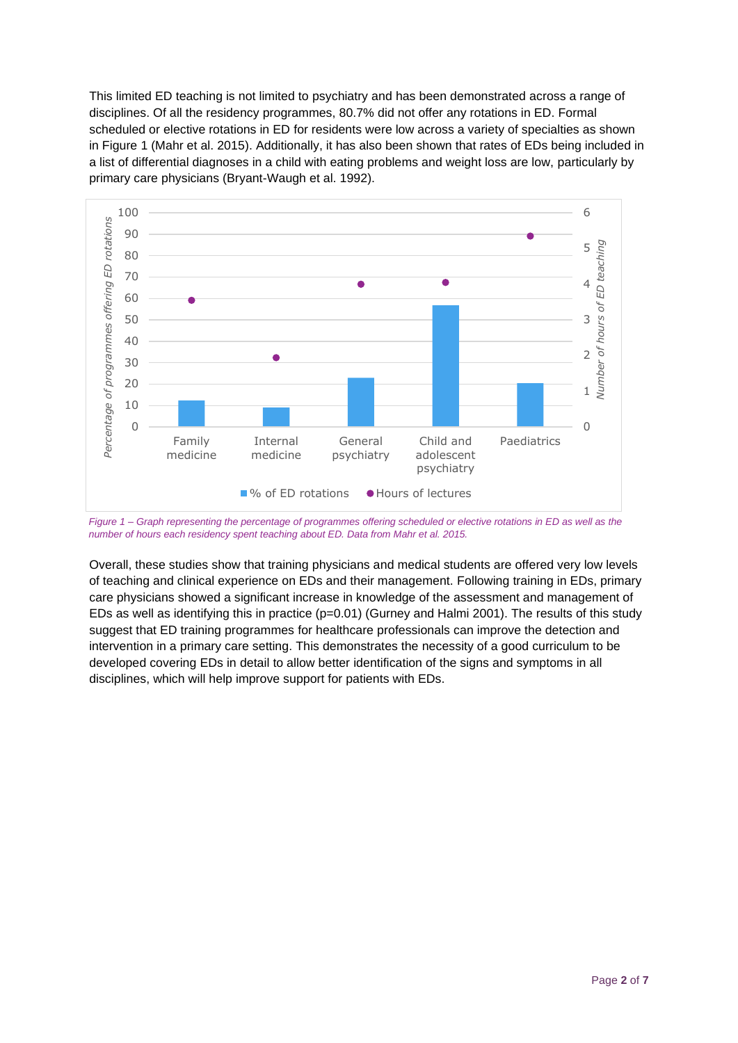This limited ED teaching is not limited to psychiatry and has been demonstrated across a range of disciplines. Of all the residency programmes, 80.7% did not offer any rotations in ED. Formal scheduled or elective rotations in ED for residents were low across a variety of specialties as shown in Figure 1 (Mahr et al. 2015). Additionally, it has also been shown that rates of EDs being included in a list of differential diagnoses in a child with eating problems and weight loss are low, particularly by primary care physicians (Bryant-Waugh et al. 1992).



*Figure 1 – Graph representing the percentage of programmes offering scheduled or elective rotations in ED as well as the number of hours each residency spent teaching about ED. Data from Mahr et al. 2015.*

Overall, these studies show that training physicians and medical students are offered very low levels of teaching and clinical experience on EDs and their management. Following training in EDs, primary care physicians showed a significant increase in knowledge of the assessment and management of EDs as well as identifying this in practice ( $p=0.01$ ) (Gurney and Halmi 2001). The results of this study suggest that ED training programmes for healthcare professionals can improve the detection and intervention in a primary care setting. This demonstrates the necessity of a good curriculum to be developed covering EDs in detail to allow better identification of the signs and symptoms in all disciplines, which will help improve support for patients with EDs.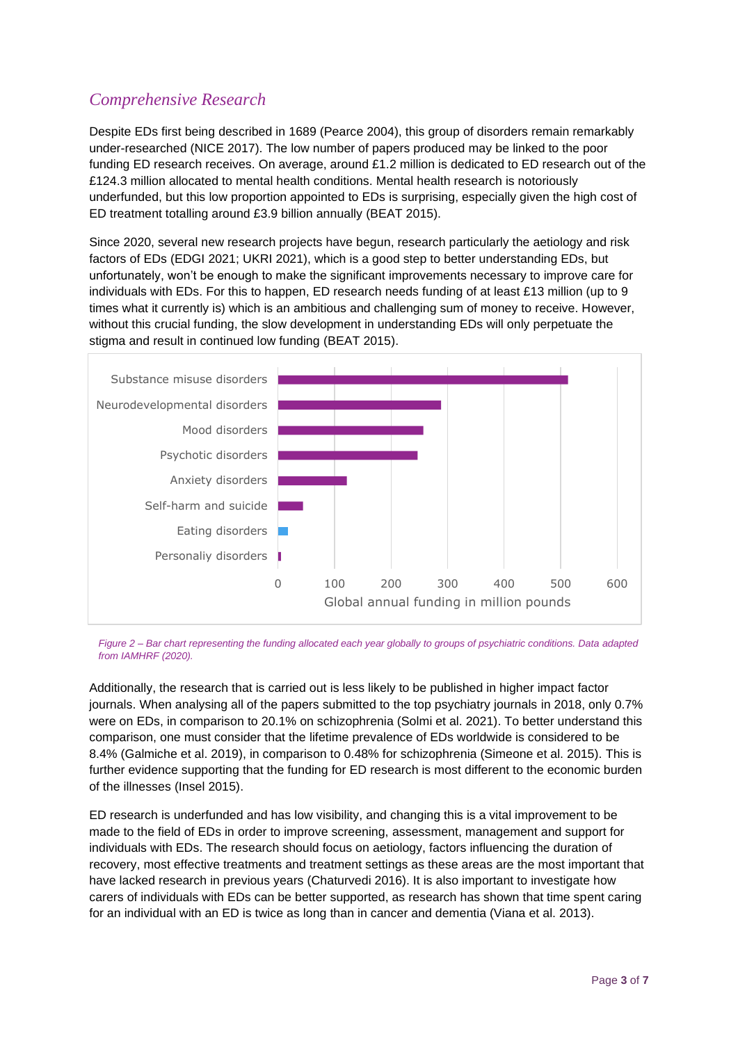# *Comprehensive Research*

Despite EDs first being described in 1689 (Pearce 2004), this group of disorders remain remarkably under-researched (NICE 2017). The low number of papers produced may be linked to the poor funding ED research receives. On average, around £1.2 million is dedicated to ED research out of the £124.3 million allocated to mental health conditions. Mental health research is notoriously underfunded, but this low proportion appointed to EDs is surprising, especially given the high cost of ED treatment totalling around £3.9 billion annually (BEAT 2015).

Since 2020, several new research projects have begun, research particularly the aetiology and risk factors of EDs (EDGI 2021; UKRI 2021), which is a good step to better understanding EDs, but unfortunately, won't be enough to make the significant improvements necessary to improve care for individuals with EDs. For this to happen, ED research needs funding of at least £13 million (up to 9 times what it currently is) which is an ambitious and challenging sum of money to receive. However, without this crucial funding, the slow development in understanding EDs will only perpetuate the stigma and result in continued low funding (BEAT 2015).



*Figure 2 – Bar chart representing the funding allocated each year globally to groups of psychiatric conditions. Data adapted from IAMHRF (2020).*

Additionally, the research that is carried out is less likely to be published in higher impact factor journals. When analysing all of the papers submitted to the top psychiatry journals in 2018, only 0.7% were on EDs, in comparison to 20.1% on schizophrenia (Solmi et al. 2021). To better understand this comparison, one must consider that the lifetime prevalence of EDs worldwide is considered to be 8.4% (Galmiche et al. 2019), in comparison to 0.48% for schizophrenia (Simeone et al. 2015). This is further evidence supporting that the funding for ED research is most different to the economic burden of the illnesses (Insel 2015).

ED research is underfunded and has low visibility, and changing this is a vital improvement to be made to the field of EDs in order to improve screening, assessment, management and support for individuals with EDs. The research should focus on aetiology, factors influencing the duration of recovery, most effective treatments and treatment settings as these areas are the most important that have lacked research in previous years (Chaturvedi 2016). It is also important to investigate how carers of individuals with EDs can be better supported, as research has shown that time spent caring for an individual with an ED is twice as long than in cancer and dementia (Viana et al. 2013).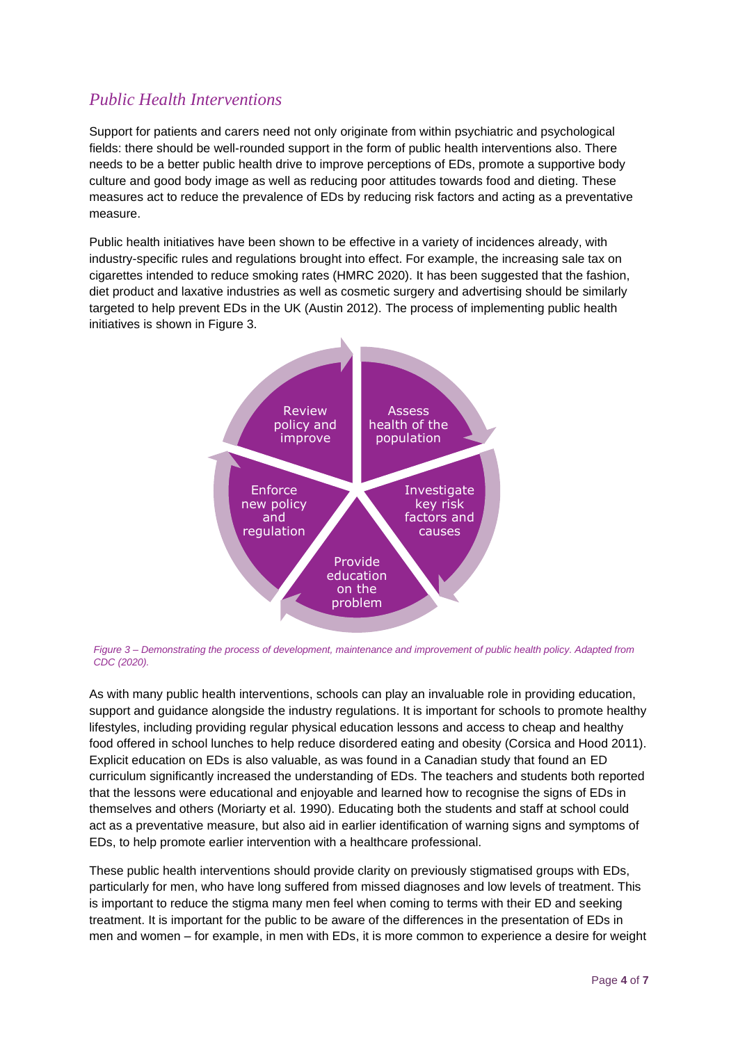## *Public Health Interventions*

Support for patients and carers need not only originate from within psychiatric and psychological fields: there should be well-rounded support in the form of public health interventions also. There needs to be a better public health drive to improve perceptions of EDs, promote a supportive body culture and good body image as well as reducing poor attitudes towards food and dieting. These measures act to reduce the prevalence of EDs by reducing risk factors and acting as a preventative measure.

Public health initiatives have been shown to be effective in a variety of incidences already, with industry-specific rules and regulations brought into effect. For example, the increasing sale tax on cigarettes intended to reduce smoking rates (HMRC 2020). It has been suggested that the fashion, diet product and laxative industries as well as cosmetic surgery and advertising should be similarly targeted to help prevent EDs in the UK (Austin 2012). The process of implementing public health initiatives is shown in Figure 3.



*Figure 3 – Demonstrating the process of development, maintenance and improvement of public health policy. Adapted from CDC (2020).*

As with many public health interventions, schools can play an invaluable role in providing education, support and guidance alongside the industry regulations. It is important for schools to promote healthy lifestyles, including providing regular physical education lessons and access to cheap and healthy food offered in school lunches to help reduce disordered eating and obesity (Corsica and Hood 2011). Explicit education on EDs is also valuable, as was found in a Canadian study that found an ED curriculum significantly increased the understanding of EDs. The teachers and students both reported that the lessons were educational and enjoyable and learned how to recognise the signs of EDs in themselves and others (Moriarty et al. 1990). Educating both the students and staff at school could act as a preventative measure, but also aid in earlier identification of warning signs and symptoms of EDs, to help promote earlier intervention with a healthcare professional.

These public health interventions should provide clarity on previously stigmatised groups with EDs, particularly for men, who have long suffered from missed diagnoses and low levels of treatment. This is important to reduce the stigma many men feel when coming to terms with their ED and seeking treatment. It is important for the public to be aware of the differences in the presentation of EDs in men and women – for example, in men with EDs, it is more common to experience a desire for weight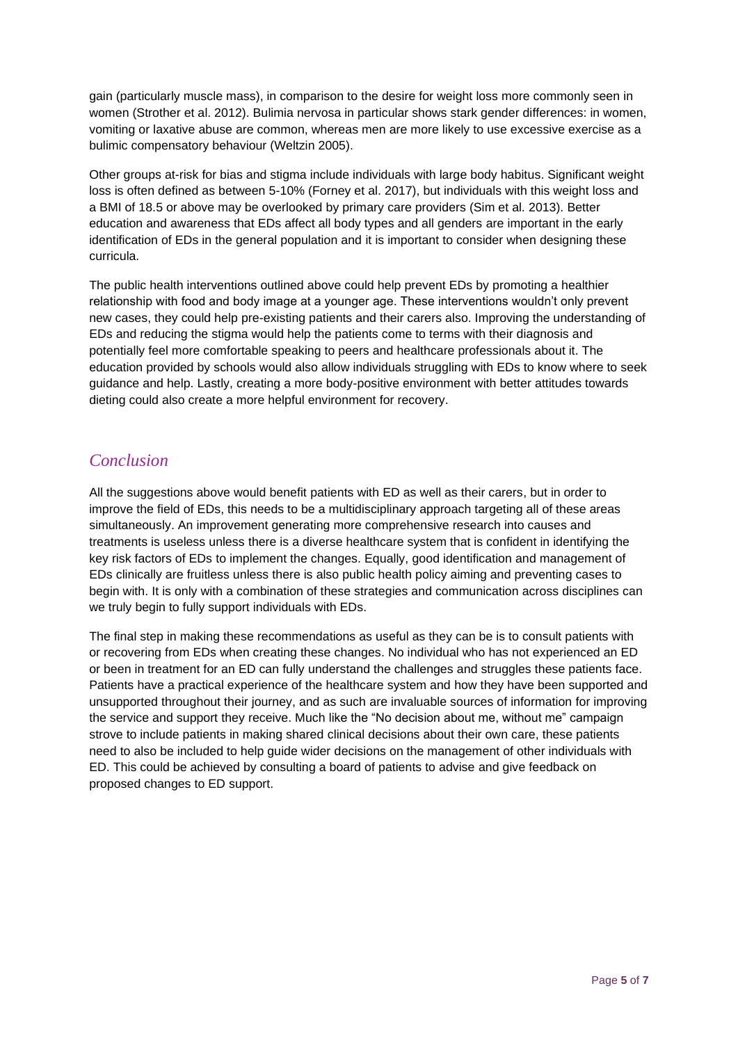gain (particularly muscle mass), in comparison to the desire for weight loss more commonly seen in women (Strother et al. 2012). Bulimia nervosa in particular shows stark gender differences: in women, vomiting or laxative abuse are common, whereas men are more likely to use excessive exercise as a bulimic compensatory behaviour (Weltzin 2005).

Other groups at-risk for bias and stigma include individuals with large body habitus. Significant weight loss is often defined as between 5-10% (Forney et al. 2017), but individuals with this weight loss and a BMI of 18.5 or above may be overlooked by primary care providers (Sim et al. 2013). Better education and awareness that EDs affect all body types and all genders are important in the early identification of EDs in the general population and it is important to consider when designing these curricula.

The public health interventions outlined above could help prevent EDs by promoting a healthier relationship with food and body image at a younger age. These interventions wouldn't only prevent new cases, they could help pre-existing patients and their carers also. Improving the understanding of EDs and reducing the stigma would help the patients come to terms with their diagnosis and potentially feel more comfortable speaking to peers and healthcare professionals about it. The education provided by schools would also allow individuals struggling with EDs to know where to seek guidance and help. Lastly, creating a more body-positive environment with better attitudes towards dieting could also create a more helpful environment for recovery.

### *Conclusion*

All the suggestions above would benefit patients with ED as well as their carers, but in order to improve the field of EDs, this needs to be a multidisciplinary approach targeting all of these areas simultaneously. An improvement generating more comprehensive research into causes and treatments is useless unless there is a diverse healthcare system that is confident in identifying the key risk factors of EDs to implement the changes. Equally, good identification and management of EDs clinically are fruitless unless there is also public health policy aiming and preventing cases to begin with. It is only with a combination of these strategies and communication across disciplines can we truly begin to fully support individuals with EDs.

The final step in making these recommendations as useful as they can be is to consult patients with or recovering from EDs when creating these changes. No individual who has not experienced an ED or been in treatment for an ED can fully understand the challenges and struggles these patients face. Patients have a practical experience of the healthcare system and how they have been supported and unsupported throughout their journey, and as such are invaluable sources of information for improving the service and support they receive. Much like the "No decision about me, without me" campaign strove to include patients in making shared clinical decisions about their own care, these patients need to also be included to help guide wider decisions on the management of other individuals with ED. This could be achieved by consulting a board of patients to advise and give feedback on proposed changes to ED support.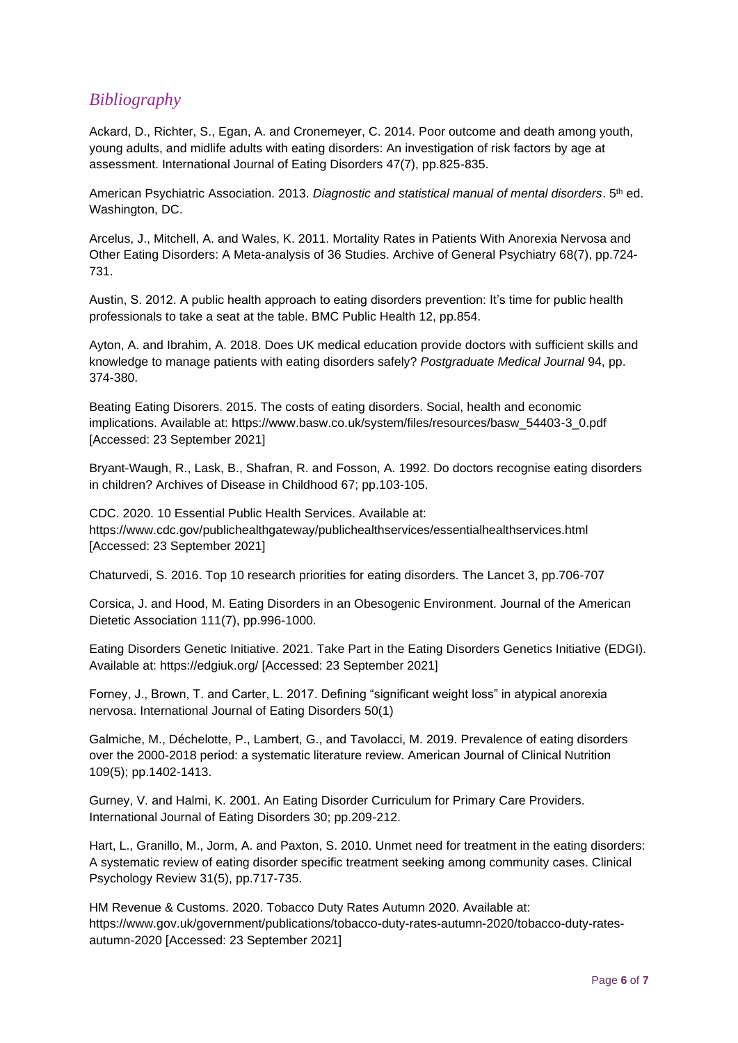#### *Bibliography*

Ackard, D., Richter, S., Egan, A. and Cronemeyer, C. 2014. Poor outcome and death among youth, young adults, and midlife adults with eating disorders: An investigation of risk factors by age at assessment. International Journal of Eating Disorders 47(7), pp.825-835.

American Psychiatric Association. 2013. *Diagnostic and statistical manual of mental disorders*. 5th ed. Washington, DC.

Arcelus, J., Mitchell, A. and Wales, K. 2011. Mortality Rates in Patients With Anorexia Nervosa and Other Eating Disorders: A Meta-analysis of 36 Studies. Archive of General Psychiatry 68(7), pp.724- 731.

Austin, S. 2012. A public health approach to eating disorders prevention: It's time for public health professionals to take a seat at the table. BMC Public Health 12, pp.854.

Ayton, A. and Ibrahim, A. 2018. Does UK medical education provide doctors with sufficient skills and knowledge to manage patients with eating disorders safely? *Postgraduate Medical Journal* 94, pp. 374-380.

Beating Eating Disorers. 2015. The costs of eating disorders. Social, health and economic implications. Available at: https://www.basw.co.uk/system/files/resources/basw\_54403-3\_0.pdf [Accessed: 23 September 2021]

Bryant-Waugh, R., Lask, B., Shafran, R. and Fosson, A. 1992. Do doctors recognise eating disorders in children? Archives of Disease in Childhood 67; pp.103-105.

CDC. 2020. 10 Essential Public Health Services. Available at: https://www.cdc.gov/publichealthgateway/publichealthservices/essentialhealthservices.html [Accessed: 23 September 2021]

Chaturvedi, S. 2016. Top 10 research priorities for eating disorders. The Lancet 3, pp.706-707

Corsica, J. and Hood, M. Eating Disorders in an Obesogenic Environment. Journal of the American Dietetic Association 111(7), pp.996-1000.

Eating Disorders Genetic Initiative. 2021. Take Part in the Eating Disorders Genetics Initiative (EDGI). Available at: https://edgiuk.org/ [Accessed: 23 September 2021]

Forney, J., Brown, T. and Carter, L. 2017. Defining "significant weight loss" in atypical anorexia nervosa. International Journal of Eating Disorders 50(1)

Galmiche, M., Déchelotte, P., Lambert, G., and Tavolacci, M. 2019. Prevalence of eating disorders over the 2000-2018 period: a systematic literature review. American Journal of Clinical Nutrition 109(5); pp.1402-1413.

Gurney, V. and Halmi, K. 2001. An Eating Disorder Curriculum for Primary Care Providers. International Journal of Eating Disorders 30; pp.209-212.

Hart, L., Granillo, M., Jorm, A. and Paxton, S. 2010. Unmet need for treatment in the eating disorders: A systematic review of eating disorder specific treatment seeking among community cases. Clinical Psychology Review 31(5), pp.717-735.

HM Revenue & Customs. 2020. Tobacco Duty Rates Autumn 2020. Available at: https://www.gov.uk/government/publications/tobacco-duty-rates-autumn-2020/tobacco-duty-ratesautumn-2020 [Accessed: 23 September 2021]